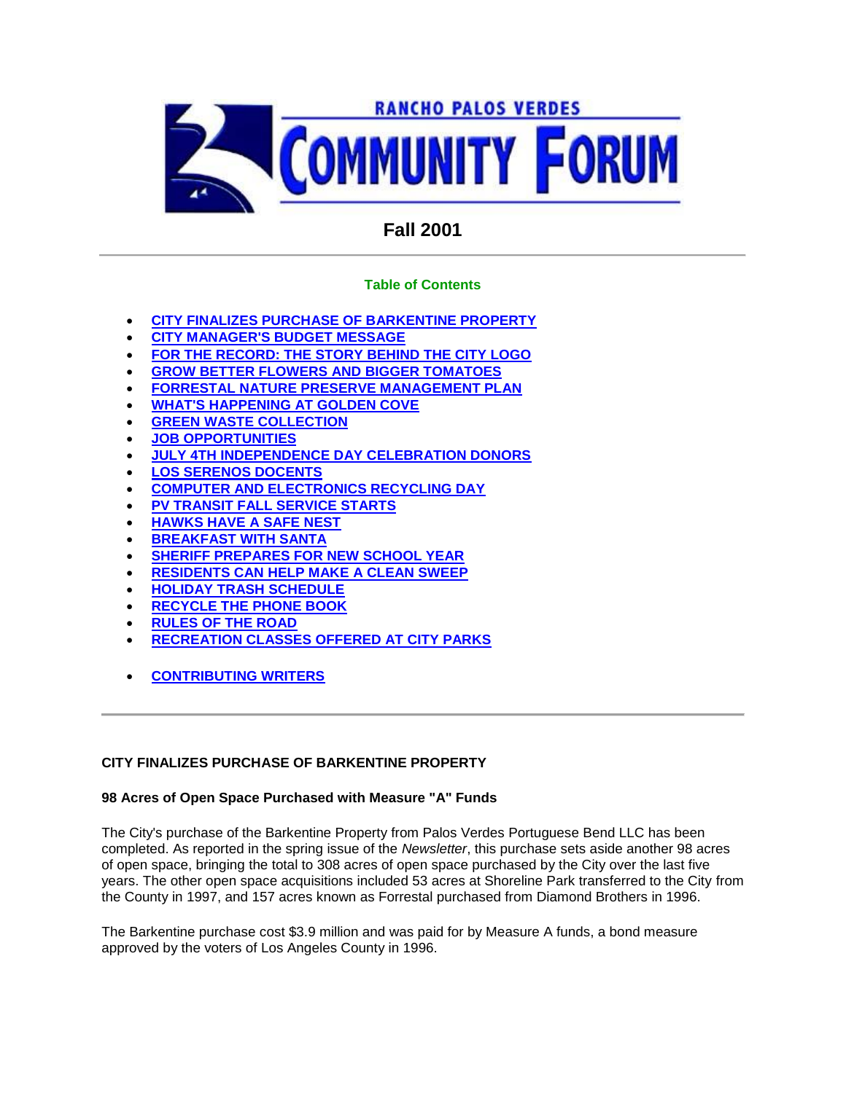

# **Fall 2001**

# **Table of Contents**

- **CITY FINALIZES PURCHASE OF BARKENTINE PROPERTY**
- **CITY MANAGER'S BUDGET MESSAGE**
- **FOR THE RECORD: THE STORY BEHIND THE CITY LOGO**
- **GROW BETTER FLOWERS AND BIGGER TOMATOES**
- **FORRESTAL NATURE PRESERVE MANAGEMENT PLAN**
- **WHAT'S HAPPENING AT GOLDEN COVE**
- **GREEN WASTE COLLECTION**
- **JOB OPPORTUNITIES**
- **JULY 4TH INDEPENDENCE DAY CELEBRATION DONORS**
- **LOS SERENOS DOCENTS**
- **COMPUTER AND ELECTRONICS RECYCLING DAY**
- **PV TRANSIT FALL SERVICE STARTS**
- **HAWKS HAVE A SAFE NEST**
- **BREAKFAST WITH SANTA**
- **SHERIFF PREPARES FOR NEW SCHOOL YEAR**
- **RESIDENTS CAN HELP MAKE A CLEAN SWEEP**
- **HOLIDAY TRASH SCHEDULE**
- **RECYCLE THE PHONE BOOK**
- **RULES OF THE ROAD**
- **RECREATION CLASSES OFFERED AT CITY PARKS**
- **CONTRIBUTING WRITERS**

### **CITY FINALIZES PURCHASE OF BARKENTINE PROPERTY**

### **98 Acres of Open Space Purchased with Measure "A" Funds**

The City's purchase of the Barkentine Property from Palos Verdes Portuguese Bend LLC has been completed. As reported in the spring issue of the *Newsletter*, this purchase sets aside another 98 acres of open space, bringing the total to 308 acres of open space purchased by the City over the last five years. The other open space acquisitions included 53 acres at Shoreline Park transferred to the City from the County in 1997, and 157 acres known as Forrestal purchased from Diamond Brothers in 1996.

The Barkentine purchase cost \$3.9 million and was paid for by Measure A funds, a bond measure approved by the voters of Los Angeles County in 1996.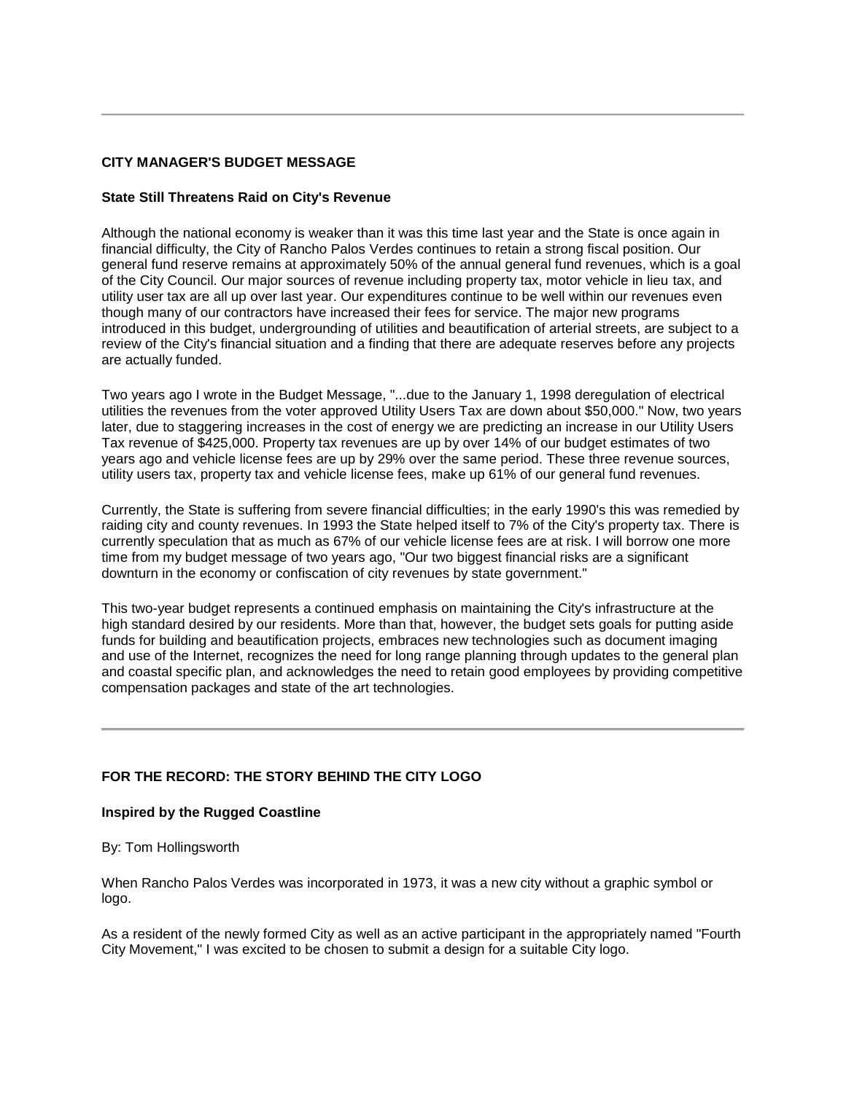### **CITY MANAGER'S BUDGET MESSAGE**

### **State Still Threatens Raid on City's Revenue**

Although the national economy is weaker than it was this time last year and the State is once again in financial difficulty, the City of Rancho Palos Verdes continues to retain a strong fiscal position. Our general fund reserve remains at approximately 50% of the annual general fund revenues, which is a goal of the City Council. Our major sources of revenue including property tax, motor vehicle in lieu tax, and utility user tax are all up over last year. Our expenditures continue to be well within our revenues even though many of our contractors have increased their fees for service. The major new programs introduced in this budget, undergrounding of utilities and beautification of arterial streets, are subject to a review of the City's financial situation and a finding that there are adequate reserves before any projects are actually funded.

Two years ago I wrote in the Budget Message, "...due to the January 1, 1998 deregulation of electrical utilities the revenues from the voter approved Utility Users Tax are down about \$50,000." Now, two years later, due to staggering increases in the cost of energy we are predicting an increase in our Utility Users Tax revenue of \$425,000. Property tax revenues are up by over 14% of our budget estimates of two years ago and vehicle license fees are up by 29% over the same period. These three revenue sources, utility users tax, property tax and vehicle license fees, make up 61% of our general fund revenues.

Currently, the State is suffering from severe financial difficulties; in the early 1990's this was remedied by raiding city and county revenues. In 1993 the State helped itself to 7% of the City's property tax. There is currently speculation that as much as 67% of our vehicle license fees are at risk. I will borrow one more time from my budget message of two years ago, "Our two biggest financial risks are a significant downturn in the economy or confiscation of city revenues by state government."

This two-year budget represents a continued emphasis on maintaining the City's infrastructure at the high standard desired by our residents. More than that, however, the budget sets goals for putting aside funds for building and beautification projects, embraces new technologies such as document imaging and use of the Internet, recognizes the need for long range planning through updates to the general plan and coastal specific plan, and acknowledges the need to retain good employees by providing competitive compensation packages and state of the art technologies.

### **FOR THE RECORD: THE STORY BEHIND THE CITY LOGO**

#### **Inspired by the Rugged Coastline**

By: Tom Hollingsworth

When Rancho Palos Verdes was incorporated in 1973, it was a new city without a graphic symbol or logo.

As a resident of the newly formed City as well as an active participant in the appropriately named "Fourth City Movement," I was excited to be chosen to submit a design for a suitable City logo.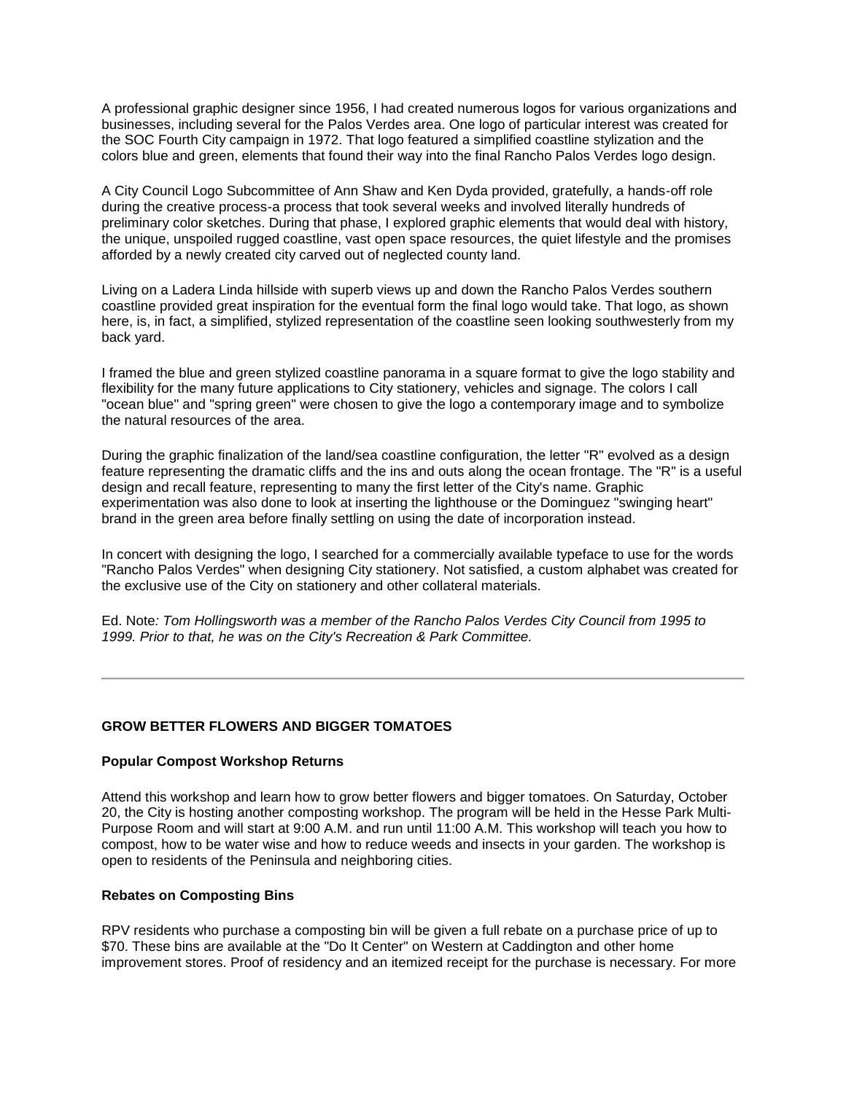A professional graphic designer since 1956, I had created numerous logos for various organizations and businesses, including several for the Palos Verdes area. One logo of particular interest was created for the SOC Fourth City campaign in 1972. That logo featured a simplified coastline stylization and the colors blue and green, elements that found their way into the final Rancho Palos Verdes logo design.

A City Council Logo Subcommittee of Ann Shaw and Ken Dyda provided, gratefully, a hands-off role during the creative process-a process that took several weeks and involved literally hundreds of preliminary color sketches. During that phase, I explored graphic elements that would deal with history, the unique, unspoiled rugged coastline, vast open space resources, the quiet lifestyle and the promises afforded by a newly created city carved out of neglected county land.

Living on a Ladera Linda hillside with superb views up and down the Rancho Palos Verdes southern coastline provided great inspiration for the eventual form the final logo would take. That logo, as shown here, is, in fact, a simplified, stylized representation of the coastline seen looking southwesterly from my back yard.

I framed the blue and green stylized coastline panorama in a square format to give the logo stability and flexibility for the many future applications to City stationery, vehicles and signage. The colors I call "ocean blue" and "spring green" were chosen to give the logo a contemporary image and to symbolize the natural resources of the area.

During the graphic finalization of the land/sea coastline configuration, the letter "R" evolved as a design feature representing the dramatic cliffs and the ins and outs along the ocean frontage. The "R" is a useful design and recall feature, representing to many the first letter of the City's name. Graphic experimentation was also done to look at inserting the lighthouse or the Dominguez "swinging heart" brand in the green area before finally settling on using the date of incorporation instead.

In concert with designing the logo, I searched for a commercially available typeface to use for the words "Rancho Palos Verdes" when designing City stationery. Not satisfied, a custom alphabet was created for the exclusive use of the City on stationery and other collateral materials.

Ed. Note*: Tom Hollingsworth was a member of the Rancho Palos Verdes City Council from 1995 to 1999. Prior to that, he was on the City's Recreation & Park Committee.* 

### **GROW BETTER FLOWERS AND BIGGER TOMATOES**

### **Popular Compost Workshop Returns**

Attend this workshop and learn how to grow better flowers and bigger tomatoes. On Saturday, October 20, the City is hosting another composting workshop. The program will be held in the Hesse Park Multi-Purpose Room and will start at 9:00 A.M. and run until 11:00 A.M. This workshop will teach you how to compost, how to be water wise and how to reduce weeds and insects in your garden. The workshop is open to residents of the Peninsula and neighboring cities.

### **Rebates on Composting Bins**

RPV residents who purchase a composting bin will be given a full rebate on a purchase price of up to \$70. These bins are available at the "Do It Center" on Western at Caddington and other home improvement stores. Proof of residency and an itemized receipt for the purchase is necessary. For more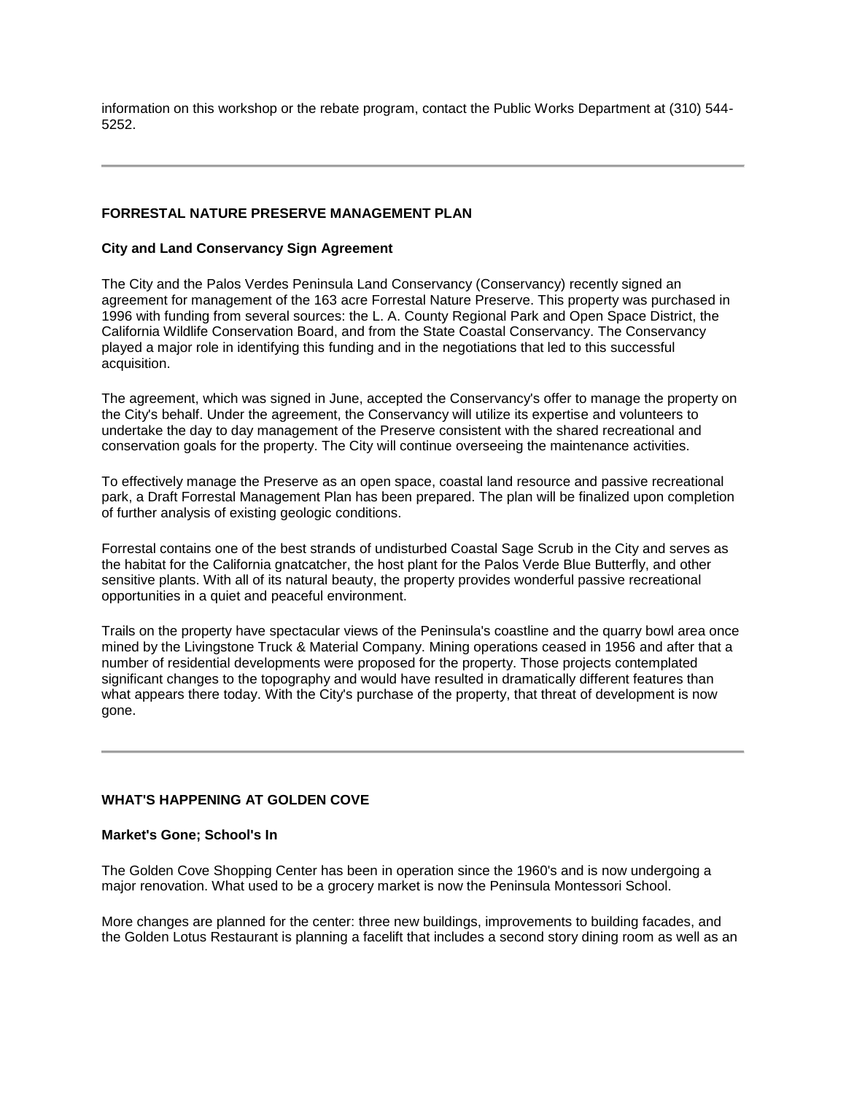information on this workshop or the rebate program, contact the Public Works Department at (310) 544- 5252.

### **FORRESTAL NATURE PRESERVE MANAGEMENT PLAN**

### **City and Land Conservancy Sign Agreement**

The City and the Palos Verdes Peninsula Land Conservancy (Conservancy) recently signed an agreement for management of the 163 acre Forrestal Nature Preserve. This property was purchased in 1996 with funding from several sources: the L. A. County Regional Park and Open Space District, the California Wildlife Conservation Board, and from the State Coastal Conservancy. The Conservancy played a major role in identifying this funding and in the negotiations that led to this successful acquisition.

The agreement, which was signed in June, accepted the Conservancy's offer to manage the property on the City's behalf. Under the agreement, the Conservancy will utilize its expertise and volunteers to undertake the day to day management of the Preserve consistent with the shared recreational and conservation goals for the property. The City will continue overseeing the maintenance activities.

To effectively manage the Preserve as an open space, coastal land resource and passive recreational park, a Draft Forrestal Management Plan has been prepared. The plan will be finalized upon completion of further analysis of existing geologic conditions.

Forrestal contains one of the best strands of undisturbed Coastal Sage Scrub in the City and serves as the habitat for the California gnatcatcher, the host plant for the Palos Verde Blue Butterfly, and other sensitive plants. With all of its natural beauty, the property provides wonderful passive recreational opportunities in a quiet and peaceful environment.

Trails on the property have spectacular views of the Peninsula's coastline and the quarry bowl area once mined by the Livingstone Truck & Material Company. Mining operations ceased in 1956 and after that a number of residential developments were proposed for the property. Those projects contemplated significant changes to the topography and would have resulted in dramatically different features than what appears there today. With the City's purchase of the property, that threat of development is now gone.

### **WHAT'S HAPPENING AT GOLDEN COVE**

#### **Market's Gone; School's In**

The Golden Cove Shopping Center has been in operation since the 1960's and is now undergoing a major renovation. What used to be a grocery market is now the Peninsula Montessori School.

More changes are planned for the center: three new buildings, improvements to building facades, and the Golden Lotus Restaurant is planning a facelift that includes a second story dining room as well as an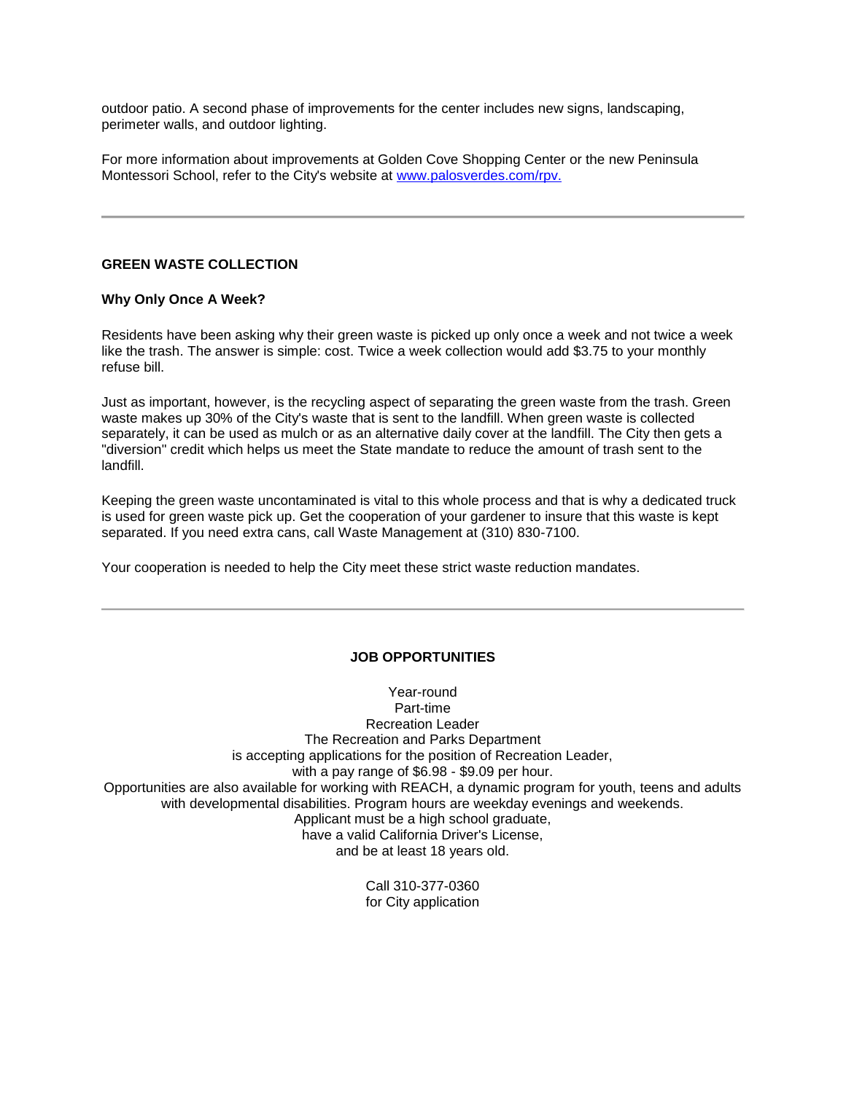outdoor patio. A second phase of improvements for the center includes new signs, landscaping, perimeter walls, and outdoor lighting.

For more information about improvements at Golden Cove Shopping Center or the new Peninsula Montessori School, refer to the City's website at www.palosverdes.com/rpv.

### **GREEN WASTE COLLECTION**

### **Why Only Once A Week?**

Residents have been asking why their green waste is picked up only once a week and not twice a week like the trash. The answer is simple: cost. Twice a week collection would add \$3.75 to your monthly refuse bill.

Just as important, however, is the recycling aspect of separating the green waste from the trash. Green waste makes up 30% of the City's waste that is sent to the landfill. When green waste is collected separately, it can be used as mulch or as an alternative daily cover at the landfill. The City then gets a "diversion" credit which helps us meet the State mandate to reduce the amount of trash sent to the landfill.

Keeping the green waste uncontaminated is vital to this whole process and that is why a dedicated truck is used for green waste pick up. Get the cooperation of your gardener to insure that this waste is kept separated. If you need extra cans, call Waste Management at (310) 830-7100.

Your cooperation is needed to help the City meet these strict waste reduction mandates.

### **JOB OPPORTUNITIES**

Year-round Part-time Recreation Leader The Recreation and Parks Department is accepting applications for the position of Recreation Leader, with a pay range of \$6.98 - \$9.09 per hour. Opportunities are also available for working with REACH, a dynamic program for youth, teens and adults with developmental disabilities. Program hours are weekday evenings and weekends. Applicant must be a high school graduate, have a valid California Driver's License, and be at least 18 years old.

> Call 310-377-0360 for City application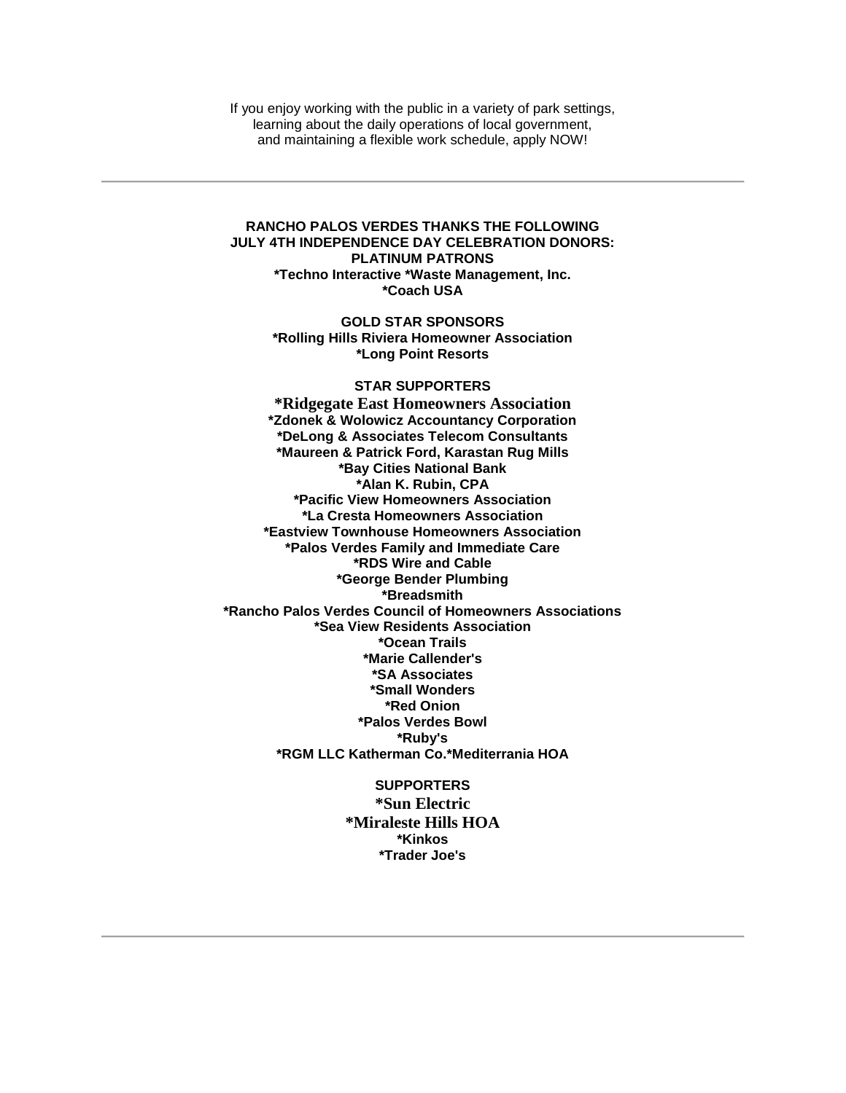If you enjoy working with the public in a variety of park settings, learning about the daily operations of local government, and maintaining a flexible work schedule, apply NOW!

#### **RANCHO PALOS VERDES THANKS THE FOLLOWING JULY 4TH INDEPENDENCE DAY CELEBRATION DONORS: PLATINUM PATRONS \*Techno Interactive \*Waste Management, Inc. \*Coach USA**

**GOLD STAR SPONSORS \*Rolling Hills Riviera Homeowner Association \*Long Point Resorts**

#### **STAR SUPPORTERS**

**\*Ridgegate East Homeowners Association \*Zdonek & Wolowicz Accountancy Corporation \*DeLong & Associates Telecom Consultants \*Maureen & Patrick Ford, Karastan Rug Mills \*Bay Cities National Bank \*Alan K. Rubin, CPA \*Pacific View Homeowners Association \*La Cresta Homeowners Association \*Eastview Townhouse Homeowners Association \*Palos Verdes Family and Immediate Care \*RDS Wire and Cable \*George Bender Plumbing \*Breadsmith \*Rancho Palos Verdes Council of Homeowners Associations \*Sea View Residents Association \*Ocean Trails \*Marie Callender's \*SA Associates \*Small Wonders \*Red Onion \*Palos Verdes Bowl \*Ruby's \*RGM LLC Katherman Co.\*Mediterrania HOA**

> **SUPPORTERS \*Sun Electric \*Miraleste Hills HOA \*Kinkos \*Trader Joe's**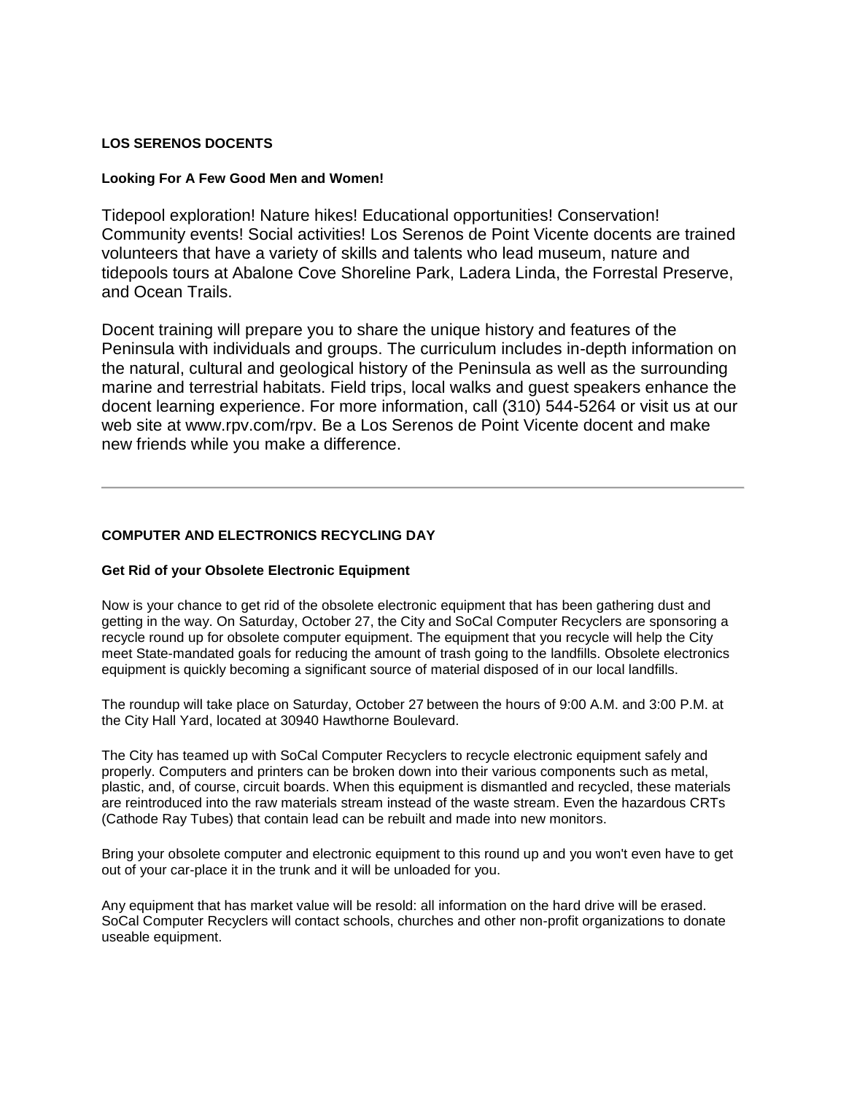## **LOS SERENOS DOCENTS**

### **Looking For A Few Good Men and Women!**

Tidepool exploration! Nature hikes! Educational opportunities! Conservation! Community events! Social activities! Los Serenos de Point Vicente docents are trained volunteers that have a variety of skills and talents who lead museum, nature and tidepools tours at Abalone Cove Shoreline Park, Ladera Linda, the Forrestal Preserve, and Ocean Trails.

Docent training will prepare you to share the unique history and features of the Peninsula with individuals and groups. The curriculum includes in-depth information on the natural, cultural and geological history of the Peninsula as well as the surrounding marine and terrestrial habitats. Field trips, local walks and guest speakers enhance the docent learning experience. For more information, call (310) 544-5264 or visit us at our web site at www.rpv.com/rpv. Be a Los Serenos de Point Vicente docent and make new friends while you make a difference.

# **COMPUTER AND ELECTRONICS RECYCLING DAY**

### **Get Rid of your Obsolete Electronic Equipment**

Now is your chance to get rid of the obsolete electronic equipment that has been gathering dust and getting in the way. On Saturday, October 27, the City and SoCal Computer Recyclers are sponsoring a recycle round up for obsolete computer equipment. The equipment that you recycle will help the City meet State-mandated goals for reducing the amount of trash going to the landfills. Obsolete electronics equipment is quickly becoming a significant source of material disposed of in our local landfills.

The roundup will take place on Saturday, October 27 between the hours of 9:00 A.M. and 3:00 P.M. at the City Hall Yard, located at 30940 Hawthorne Boulevard.

The City has teamed up with SoCal Computer Recyclers to recycle electronic equipment safely and properly. Computers and printers can be broken down into their various components such as metal, plastic, and, of course, circuit boards. When this equipment is dismantled and recycled, these materials are reintroduced into the raw materials stream instead of the waste stream. Even the hazardous CRTs (Cathode Ray Tubes) that contain lead can be rebuilt and made into new monitors.

Bring your obsolete computer and electronic equipment to this round up and you won't even have to get out of your car-place it in the trunk and it will be unloaded for you.

Any equipment that has market value will be resold: all information on the hard drive will be erased. SoCal Computer Recyclers will contact schools, churches and other non-profit organizations to donate useable equipment.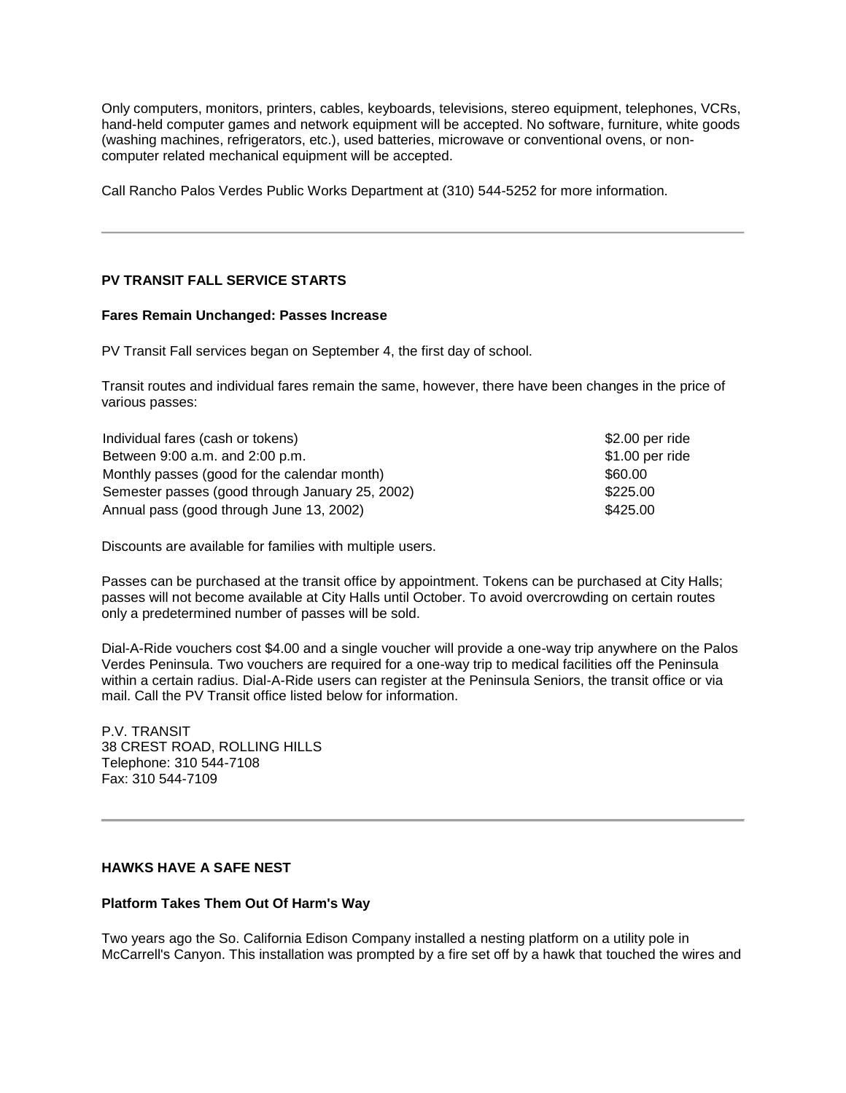Only computers, monitors, printers, cables, keyboards, televisions, stereo equipment, telephones, VCRs, hand-held computer games and network equipment will be accepted. No software, furniture, white goods (washing machines, refrigerators, etc.), used batteries, microwave or conventional ovens, or noncomputer related mechanical equipment will be accepted.

Call Rancho Palos Verdes Public Works Department at (310) 544-5252 for more information.

## **PV TRANSIT FALL SERVICE STARTS**

#### **Fares Remain Unchanged: Passes Increase**

PV Transit Fall services began on September 4, the first day of school.

Transit routes and individual fares remain the same, however, there have been changes in the price of various passes:

| Individual fares (cash or tokens)               | \$2.00 per ride |
|-------------------------------------------------|-----------------|
| Between 9:00 a.m. and 2:00 p.m.                 | \$1.00 per ride |
| Monthly passes (good for the calendar month)    | \$60.00         |
| Semester passes (good through January 25, 2002) | \$225.00        |
| Annual pass (good through June 13, 2002)        | \$425.00        |

Discounts are available for families with multiple users.

Passes can be purchased at the transit office by appointment. Tokens can be purchased at City Halls; passes will not become available at City Halls until October. To avoid overcrowding on certain routes only a predetermined number of passes will be sold.

Dial-A-Ride vouchers cost \$4.00 and a single voucher will provide a one-way trip anywhere on the Palos Verdes Peninsula. Two vouchers are required for a one-way trip to medical facilities off the Peninsula within a certain radius. Dial-A-Ride users can register at the Peninsula Seniors, the transit office or via mail. Call the PV Transit office listed below for information.

P.V. TRANSIT 38 CREST ROAD, ROLLING HILLS Telephone: 310 544-7108 Fax: 310 544-7109

### **HAWKS HAVE A SAFE NEST**

### **Platform Takes Them Out Of Harm's Way**

Two years ago the So. California Edison Company installed a nesting platform on a utility pole in McCarrell's Canyon. This installation was prompted by a fire set off by a hawk that touched the wires and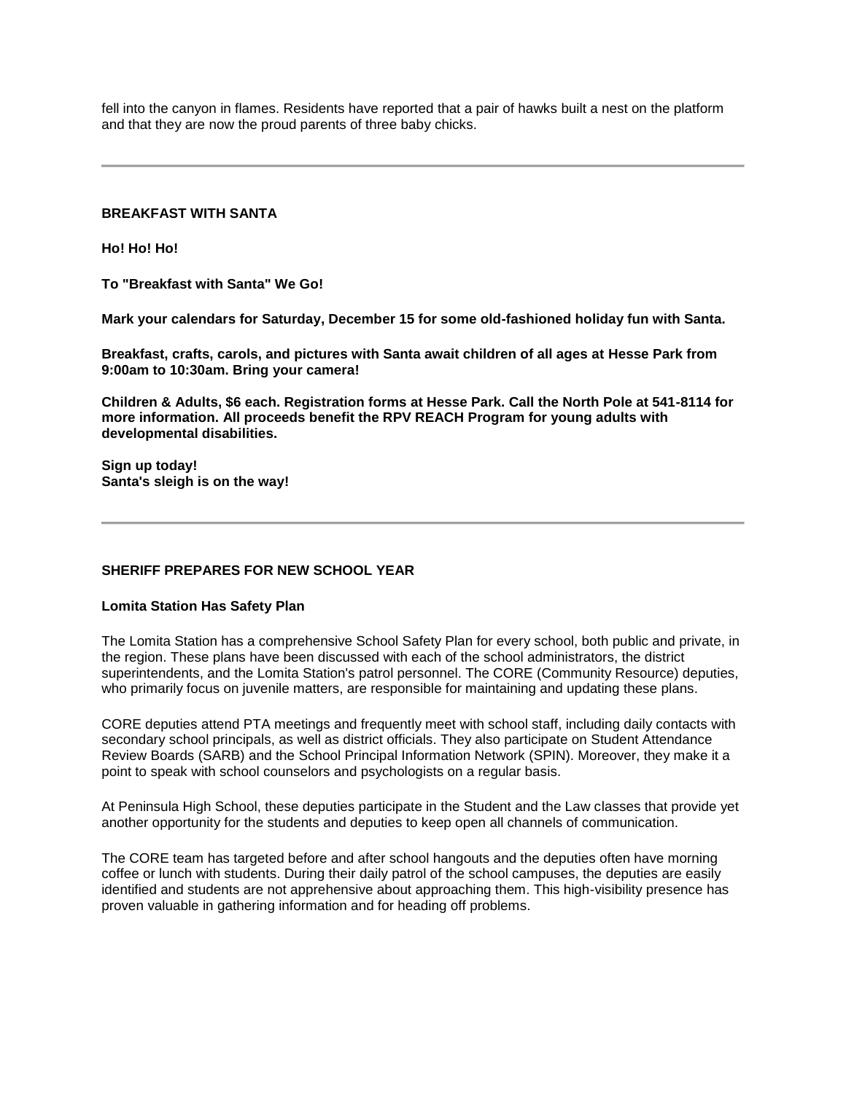fell into the canyon in flames. Residents have reported that a pair of hawks built a nest on the platform and that they are now the proud parents of three baby chicks.

### **BREAKFAST WITH SANTA**

**Ho! Ho! Ho!**

**To "Breakfast with Santa" We Go!**

**Mark your calendars for Saturday, December 15 for some old-fashioned holiday fun with Santa.**

**Breakfast, crafts, carols, and pictures with Santa await children of all ages at Hesse Park from 9:00am to 10:30am. Bring your camera!**

**Children & Adults, \$6 each. Registration forms at Hesse Park. Call the North Pole at 541-8114 for more information. All proceeds benefit the RPV REACH Program for young adults with developmental disabilities.**

**Sign up today! Santa's sleigh is on the way!**

### **SHERIFF PREPARES FOR NEW SCHOOL YEAR**

### **Lomita Station Has Safety Plan**

The Lomita Station has a comprehensive School Safety Plan for every school, both public and private, in the region. These plans have been discussed with each of the school administrators, the district superintendents, and the Lomita Station's patrol personnel. The CORE (Community Resource) deputies, who primarily focus on juvenile matters, are responsible for maintaining and updating these plans.

CORE deputies attend PTA meetings and frequently meet with school staff, including daily contacts with secondary school principals, as well as district officials. They also participate on Student Attendance Review Boards (SARB) and the School Principal Information Network (SPIN). Moreover, they make it a point to speak with school counselors and psychologists on a regular basis.

At Peninsula High School, these deputies participate in the Student and the Law classes that provide yet another opportunity for the students and deputies to keep open all channels of communication.

The CORE team has targeted before and after school hangouts and the deputies often have morning coffee or lunch with students. During their daily patrol of the school campuses, the deputies are easily identified and students are not apprehensive about approaching them. This high-visibility presence has proven valuable in gathering information and for heading off problems.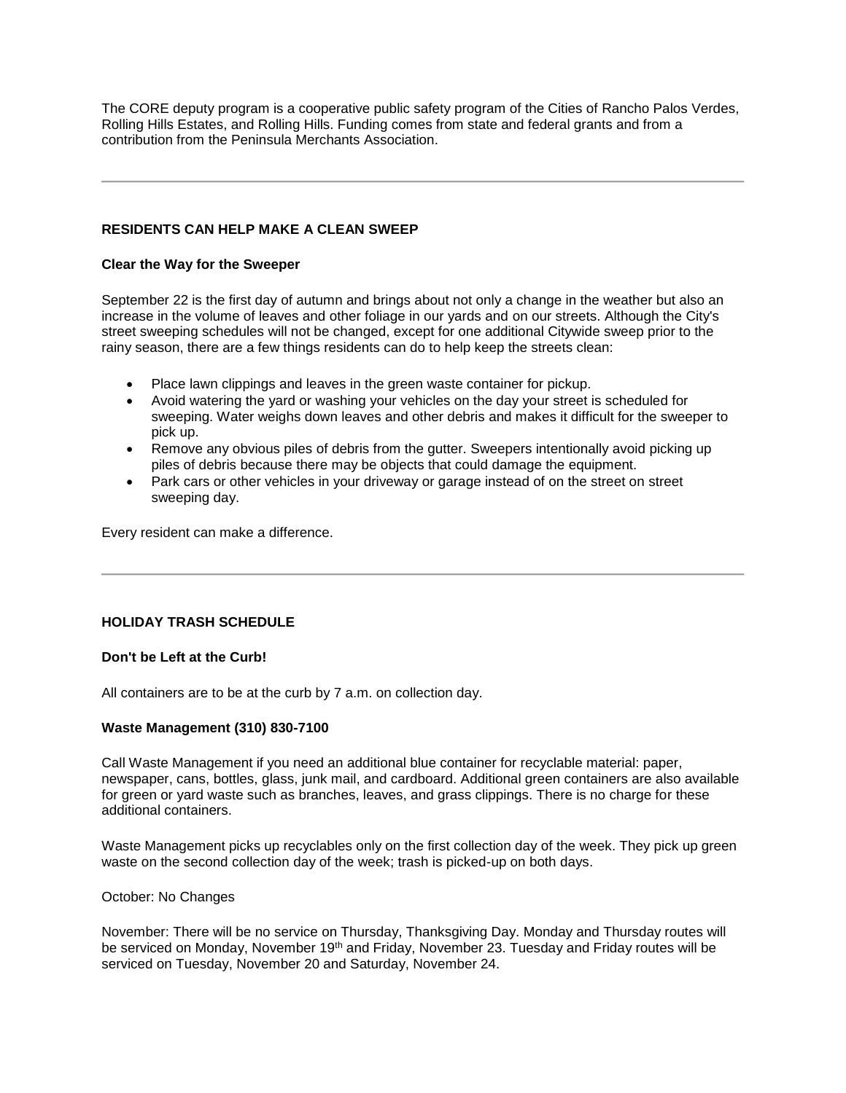The CORE deputy program is a cooperative public safety program of the Cities of Rancho Palos Verdes, Rolling Hills Estates, and Rolling Hills. Funding comes from state and federal grants and from a contribution from the Peninsula Merchants Association.

### **RESIDENTS CAN HELP MAKE A CLEAN SWEEP**

### **Clear the Way for the Sweeper**

September 22 is the first day of autumn and brings about not only a change in the weather but also an increase in the volume of leaves and other foliage in our yards and on our streets. Although the City's street sweeping schedules will not be changed, except for one additional Citywide sweep prior to the rainy season, there are a few things residents can do to help keep the streets clean:

- Place lawn clippings and leaves in the green waste container for pickup.
- Avoid watering the yard or washing your vehicles on the day your street is scheduled for sweeping. Water weighs down leaves and other debris and makes it difficult for the sweeper to pick up.
- Remove any obvious piles of debris from the gutter. Sweepers intentionally avoid picking up piles of debris because there may be objects that could damage the equipment.
- Park cars or other vehicles in your driveway or garage instead of on the street on street sweeping day.

Every resident can make a difference.

### **HOLIDAY TRASH SCHEDULE**

### **Don't be Left at the Curb!**

All containers are to be at the curb by 7 a.m. on collection day.

### **Waste Management (310) 830-7100**

Call Waste Management if you need an additional blue container for recyclable material: paper, newspaper, cans, bottles, glass, junk mail, and cardboard. Additional green containers are also available for green or yard waste such as branches, leaves, and grass clippings. There is no charge for these additional containers.

Waste Management picks up recyclables only on the first collection day of the week. They pick up green waste on the second collection day of the week; trash is picked-up on both days.

### October: No Changes

November: There will be no service on Thursday, Thanksgiving Day. Monday and Thursday routes will be serviced on Monday, November 19<sup>th</sup> and Friday, November 23. Tuesday and Friday routes will be serviced on Tuesday, November 20 and Saturday, November 24.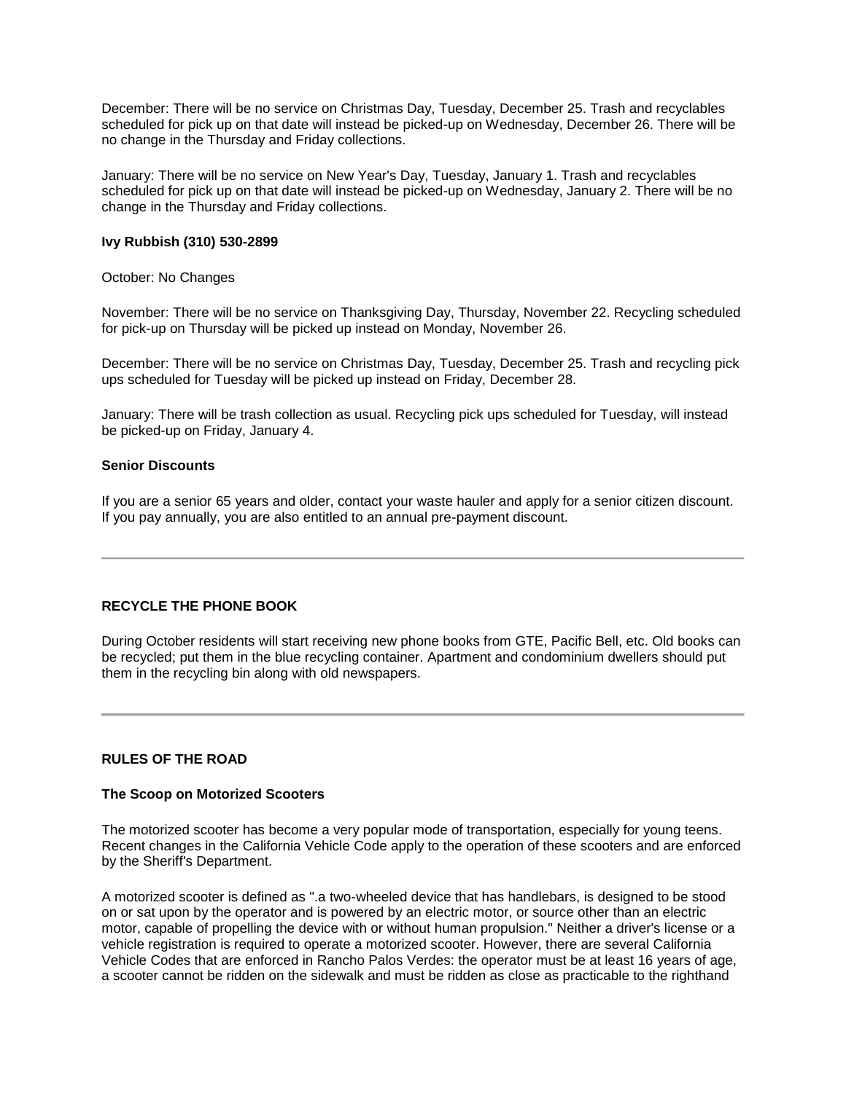December: There will be no service on Christmas Day, Tuesday, December 25. Trash and recyclables scheduled for pick up on that date will instead be picked-up on Wednesday, December 26. There will be no change in the Thursday and Friday collections.

January: There will be no service on New Year's Day, Tuesday, January 1. Trash and recyclables scheduled for pick up on that date will instead be picked-up on Wednesday, January 2. There will be no change in the Thursday and Friday collections.

# **Ivy Rubbish (310) 530-2899**

October: No Changes

November: There will be no service on Thanksgiving Day, Thursday, November 22. Recycling scheduled for pick-up on Thursday will be picked up instead on Monday, November 26.

December: There will be no service on Christmas Day, Tuesday, December 25. Trash and recycling pick ups scheduled for Tuesday will be picked up instead on Friday, December 28.

January: There will be trash collection as usual. Recycling pick ups scheduled for Tuesday, will instead be picked-up on Friday, January 4.

### **Senior Discounts**

If you are a senior 65 years and older, contact your waste hauler and apply for a senior citizen discount. If you pay annually, you are also entitled to an annual pre-payment discount.

### **RECYCLE THE PHONE BOOK**

During October residents will start receiving new phone books from GTE, Pacific Bell, etc. Old books can be recycled; put them in the blue recycling container. Apartment and condominium dwellers should put them in the recycling bin along with old newspapers.

### **RULES OF THE ROAD**

### **The Scoop on Motorized Scooters**

The motorized scooter has become a very popular mode of transportation, especially for young teens. Recent changes in the California Vehicle Code apply to the operation of these scooters and are enforced by the Sheriff's Department.

A motorized scooter is defined as ".a two-wheeled device that has handlebars, is designed to be stood on or sat upon by the operator and is powered by an electric motor, or source other than an electric motor, capable of propelling the device with or without human propulsion." Neither a driver's license or a vehicle registration is required to operate a motorized scooter. However, there are several California Vehicle Codes that are enforced in Rancho Palos Verdes: the operator must be at least 16 years of age, a scooter cannot be ridden on the sidewalk and must be ridden as close as practicable to the righthand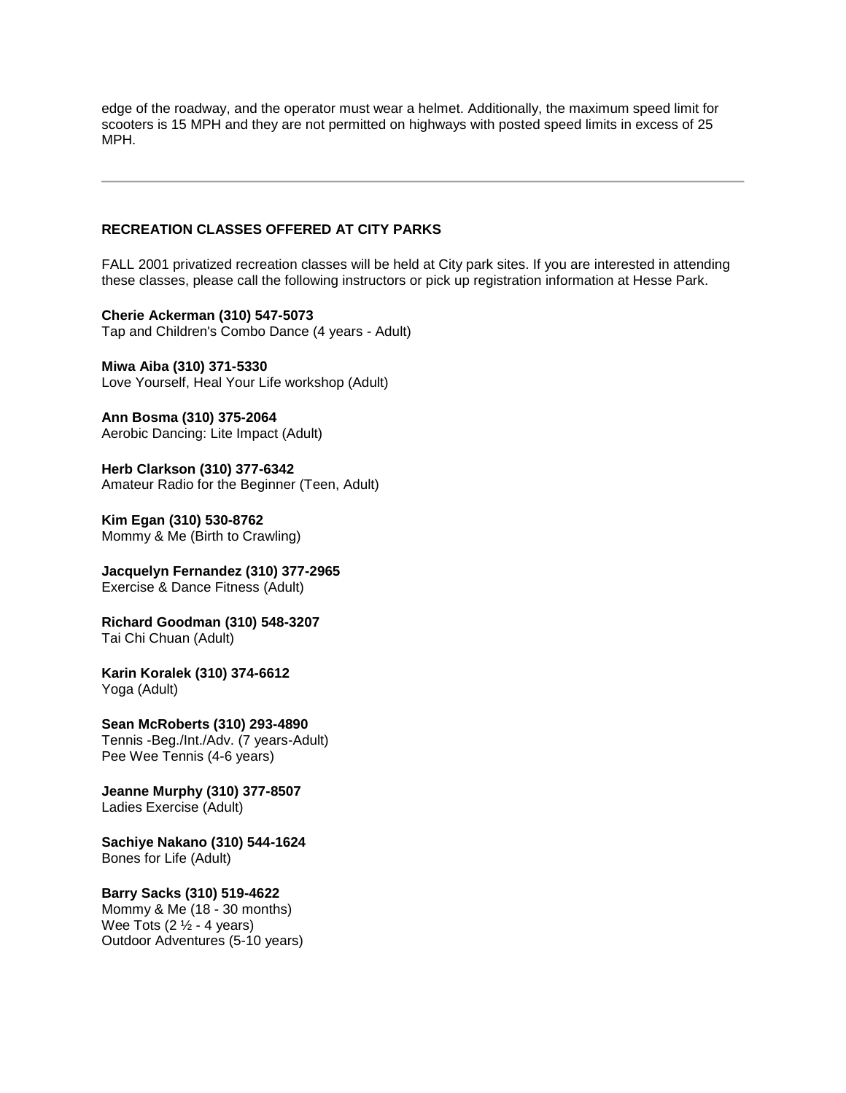edge of the roadway, and the operator must wear a helmet. Additionally, the maximum speed limit for scooters is 15 MPH and they are not permitted on highways with posted speed limits in excess of 25 MPH.

### **RECREATION CLASSES OFFERED AT CITY PARKS**

FALL 2001 privatized recreation classes will be held at City park sites. If you are interested in attending these classes, please call the following instructors or pick up registration information at Hesse Park.

**Cherie Ackerman (310) 547-5073** Tap and Children's Combo Dance (4 years - Adult)

**Miwa Aiba (310) 371-5330** Love Yourself, Heal Your Life workshop (Adult)

**Ann Bosma (310) 375-2064** Aerobic Dancing: Lite Impact (Adult)

**Herb Clarkson (310) 377-6342** Amateur Radio for the Beginner (Teen, Adult)

**Kim Egan (310) 530-8762** Mommy & Me (Birth to Crawling)

**Jacquelyn Fernandez (310) 377-2965**  Exercise & Dance Fitness (Adult)

**Richard Goodman (310) 548-3207** Tai Chi Chuan (Adult)

**Karin Koralek (310) 374-6612** Yoga (Adult)

**Sean McRoberts (310) 293-4890** Tennis -Beg./Int./Adv. (7 years-Adult) Pee Wee Tennis (4-6 years)

**Jeanne Murphy (310) 377-8507**  Ladies Exercise (Adult)

**Sachiye Nakano (310) 544-1624**  Bones for Life (Adult)

**Barry Sacks (310) 519-4622** Mommy & Me (18 - 30 months) Wee Tots  $(2  $\frac{1}{2}$  - 4 years)$ Outdoor Adventures (5-10 years)